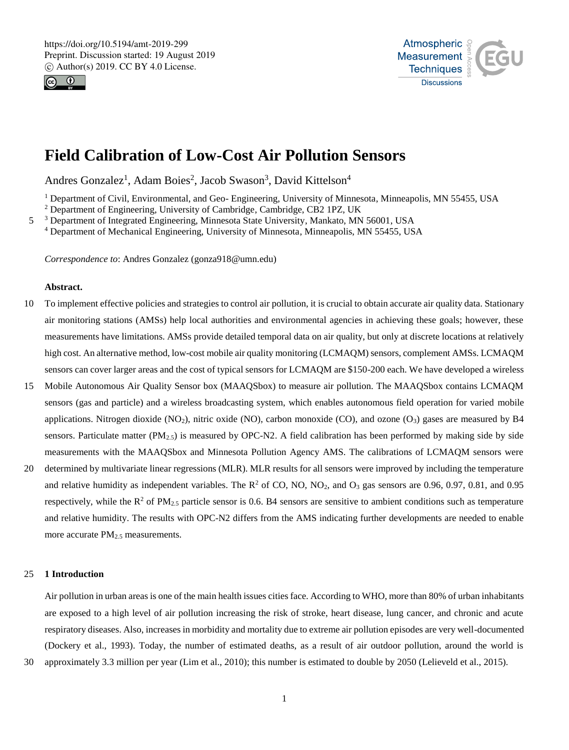



# **Field Calibration of Low-Cost Air Pollution Sensors**

Andres Gonzalez<sup>1</sup>, Adam Boies<sup>2</sup>, Jacob Swason<sup>3</sup>, David Kittelson<sup>4</sup>

<sup>1</sup> Department of Civil, Environmental, and Geo- Engineering, University of Minnesota, Minneapolis, MN 55455, USA

<sup>2</sup> Department of Engineering, University of Cambridge, Cambridge, CB2 1PZ, UK

5 <sup>3</sup> Department of Integrated Engineering, Minnesota State University, Mankato, MN 56001, USA <sup>4</sup> Department of Mechanical Engineering, University of Minnesota, Minneapolis, MN 55455, USA

*Correspondence to*: Andres Gonzalez (gonza918@umn.edu)

## **Abstract.**

- 10 To implement effective policies and strategies to control air pollution, it is crucial to obtain accurate air quality data. Stationary air monitoring stations (AMSs) help local authorities and environmental agencies in achieving these goals; however, these measurements have limitations. AMSs provide detailed temporal data on air quality, but only at discrete locations at relatively high cost. An alternative method, low-cost mobile air quality monitoring (LCMAQM) sensors, complement AMSs. LCMAQM sensors can cover larger areas and the cost of typical sensors for LCMAQM are \$150-200 each. We have developed a wireless
- 15 Mobile Autonomous Air Quality Sensor box (MAAQSbox) to measure air pollution. The MAAQSbox contains LCMAQM sensors (gas and particle) and a wireless broadcasting system, which enables autonomous field operation for varied mobile applications. Nitrogen dioxide (NO<sub>2</sub>), nitric oxide (NO), carbon monoxide (CO), and ozone (O<sub>3</sub>) gases are measured by B4 sensors. Particulate matter  $(PM_{2.5})$  is measured by OPC-N2. A field calibration has been performed by making side by side measurements with the MAAQSbox and Minnesota Pollution Agency AMS. The calibrations of LCMAQM sensors were
- 20 determined by multivariate linear regressions (MLR). MLR results for all sensors were improved by including the temperature and relative humidity as independent variables. The  $R^2$  of CO, NO, NO<sub>2</sub>, and O<sub>3</sub> gas sensors are 0.96, 0.97, 0.81, and 0.95 respectively, while the  $R^2$  of PM<sub>2.5</sub> particle sensor is 0.6. B4 sensors are sensitive to ambient conditions such as temperature and relative humidity. The results with OPC-N2 differs from the AMS indicating further developments are needed to enable more accurate  $PM<sub>2.5</sub>$  measurements.

## 25 **1 Introduction**

Air pollution in urban areas is one of the main health issues cities face. According to WHO, more than 80% of urban inhabitants are exposed to a high level of air pollution increasing the risk of stroke, heart disease, lung cancer, and chronic and acute respiratory diseases. Also, increases in morbidity and mortality due to extreme air pollution episodes are very well-documented (Dockery et al., 1993). Today, the number of estimated deaths, as a result of air outdoor pollution, around the world is

30 approximately 3.3 million per year (Lim et al., 2010); this number is estimated to double by 2050 (Lelieveld et al., 2015).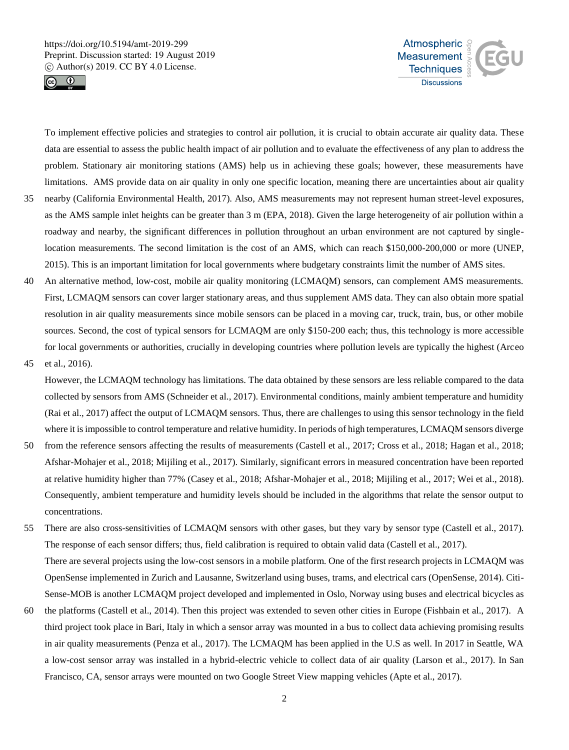



To implement effective policies and strategies to control air pollution, it is crucial to obtain accurate air quality data. These data are essential to assess the public health impact of air pollution and to evaluate the effectiveness of any plan to address the problem. Stationary air monitoring stations (AMS) help us in achieving these goals; however, these measurements have limitations. AMS provide data on air quality in only one specific location, meaning there are uncertainties about air quality

- 35 nearby (California Environmental Health, 2017). Also, AMS measurements may not represent human street-level exposures, as the AMS sample inlet heights can be greater than 3 m (EPA, 2018). Given the large heterogeneity of air pollution within a roadway and nearby, the significant differences in pollution throughout an urban environment are not captured by singlelocation measurements. The second limitation is the cost of an AMS, which can reach \$150,000-200,000 or more (UNEP, 2015). This is an important limitation for local governments where budgetary constraints limit the number of AMS sites.
- 40 An alternative method, low-cost, mobile air quality monitoring (LCMAQM) sensors, can complement AMS measurements. First, LCMAQM sensors can cover larger stationary areas, and thus supplement AMS data. They can also obtain more spatial resolution in air quality measurements since mobile sensors can be placed in a moving car, truck, train, bus, or other mobile sources. Second, the cost of typical sensors for LCMAQM are only \$150-200 each; thus, this technology is more accessible for local governments or authorities, crucially in developing countries where pollution levels are typically the highest (Arceo
- 45 et al., 2016).

However, the LCMAQM technology has limitations. The data obtained by these sensors are less reliable compared to the data collected by sensors from AMS (Schneider et al., 2017). Environmental conditions, mainly ambient temperature and humidity (Rai et al., 2017) affect the output of LCMAQM sensors. Thus, there are challenges to using this sensor technology in the field where it is impossible to control temperature and relative humidity. In periods of high temperatures, LCMAQM sensors diverge

- 50 from the reference sensors affecting the results of measurements (Castell et al., 2017; Cross et al., 2018; Hagan et al., 2018; Afshar-Mohajer et al., 2018; Mijiling et al., 2017). Similarly, significant errors in measured concentration have been reported at relative humidity higher than 77% (Casey et al., 2018; Afshar-Mohajer et al., 2018; Mijiling et al., 2017; Wei et al., 2018). Consequently, ambient temperature and humidity levels should be included in the algorithms that relate the sensor output to concentrations.
- 55 There are also cross-sensitivities of LCMAQM sensors with other gases, but they vary by sensor type (Castell et al., 2017). The response of each sensor differs; thus, field calibration is required to obtain valid data (Castell et al., 2017). There are several projects using the low-cost sensors in a mobile platform. One of the first research projects in LCMAQM was OpenSense implemented in Zurich and Lausanne, Switzerland using buses, trams, and electrical cars (OpenSense, 2014). Citi-Sense-MOB is another LCMAQM project developed and implemented in Oslo, Norway using buses and electrical bicycles as
- 60 the platforms (Castell et al., 2014). Then this project was extended to seven other cities in Europe (Fishbain et al., 2017). A third project took place in Bari, Italy in which a sensor array was mounted in a bus to collect data achieving promising results in air quality measurements (Penza et al., 2017). The LCMAQM has been applied in the U.S as well. In 2017 in Seattle, WA a low-cost sensor array was installed in a hybrid-electric vehicle to collect data of air quality (Larson et al., 2017). In San Francisco, CA, sensor arrays were mounted on two Google Street View mapping vehicles (Apte et al., 2017).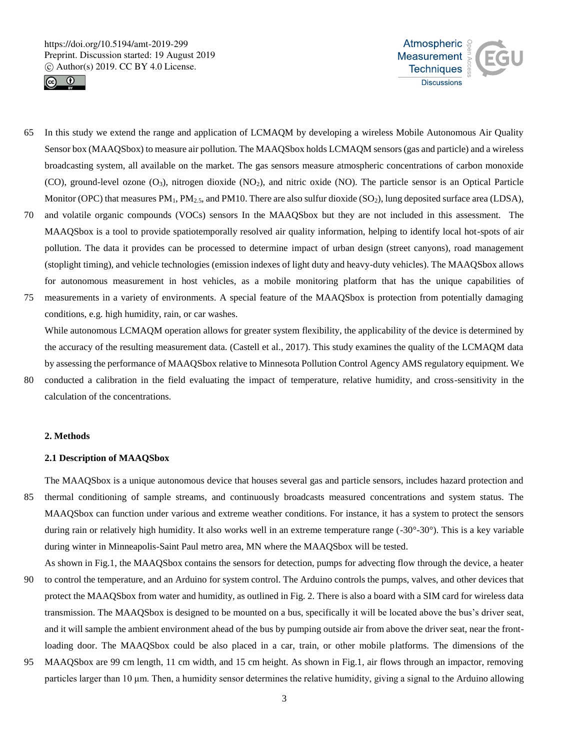



- 65 In this study we extend the range and application of LCMAQM by developing a wireless Mobile Autonomous Air Quality Sensor box (MAAQSbox) to measure air pollution. The MAAQSbox holds LCMAQM sensors (gas and particle) and a wireless broadcasting system, all available on the market. The gas sensors measure atmospheric concentrations of carbon monoxide (CO), ground-level ozone  $(O_3)$ , nitrogen dioxide  $(NO_2)$ , and nitric oxide  $(NO)$ . The particle sensor is an Optical Particle Monitor (OPC) that measures  $PM_1$ ,  $PM_{2.5}$ , and  $PM10$ . There are also sulfur dioxide (SO<sub>2</sub>), lung deposited surface area (LDSA),
- 70 and volatile organic compounds (VOCs) sensors In the MAAQSbox but they are not included in this assessment. The MAAQSbox is a tool to provide spatiotemporally resolved air quality information, helping to identify local hot-spots of air pollution. The data it provides can be processed to determine impact of urban design (street canyons), road management (stoplight timing), and vehicle technologies (emission indexes of light duty and heavy-duty vehicles). The MAAQSbox allows for autonomous measurement in host vehicles, as a mobile monitoring platform that has the unique capabilities of
- 75 measurements in a variety of environments. A special feature of the MAAQSbox is protection from potentially damaging conditions, e.g. high humidity, rain, or car washes.

While autonomous LCMAQM operation allows for greater system flexibility, the applicability of the device is determined by the accuracy of the resulting measurement data. (Castell et al., 2017). This study examines the quality of the LCMAQM data by assessing the performance of MAAQSbox relative to Minnesota Pollution Control Agency AMS regulatory equipment. We

80 conducted a calibration in the field evaluating the impact of temperature, relative humidity, and cross-sensitivity in the calculation of the concentrations.

## **2. Methods**

## **2.1 Description of MAAQSbox**

The MAAQSbox is a unique autonomous device that houses several gas and particle sensors, includes hazard protection and 85 thermal conditioning of sample streams, and continuously broadcasts measured concentrations and system status. The MAAQSbox can function under various and extreme weather conditions. For instance, it has a system to protect the sensors during rain or relatively high humidity. It also works well in an extreme temperature range (-30°-30°). This is a key variable during winter in Minneapolis-Saint Paul metro area, MN where the MAAQSbox will be tested.

- As shown in Fig.1, the MAAQSbox contains the sensors for detection, pumps for advecting flow through the device, a heater 90 to control the temperature, and an Arduino for system control. The Arduino controls the pumps, valves, and other devices that protect the MAAQSbox from water and humidity, as outlined in Fig. 2. There is also a board with a SIM card for wireless data transmission. The MAAQSbox is designed to be mounted on a bus, specifically it will be located above the bus's driver seat, and it will sample the ambient environment ahead of the bus by pumping outside air from above the driver seat, near the frontloading door. The MAAQSbox could be also placed in a car, train, or other mobile platforms. The dimensions of the
- 95 MAAQSbox are 99 cm length, 11 cm width, and 15 cm height. As shown in Fig.1, air flows through an impactor, removing particles larger than 10 μm. Then, a humidity sensor determines the relative humidity, giving a signal to the Arduino allowing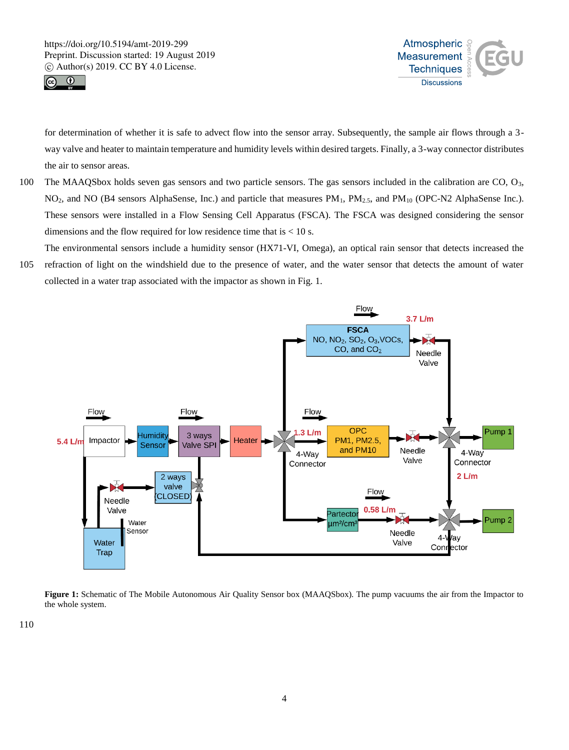



for determination of whether it is safe to advect flow into the sensor array. Subsequently, the sample air flows through a 3 way valve and heater to maintain temperature and humidity levels within desired targets. Finally, a 3-way connector distributes the air to sensor areas.

- 100 The MAAQSbox holds seven gas sensors and two particle sensors. The gas sensors included in the calibration are  $CO$ ,  $O_3$ , NO2, and NO (B4 sensors AlphaSense, Inc.) and particle that measures PM1, PM2.5, and PM<sup>10</sup> (OPC-N2 AlphaSense Inc.). These sensors were installed in a Flow Sensing Cell Apparatus (FSCA). The FSCA was designed considering the sensor dimensions and the flow required for low residence time that is  $< 10$  s.
- The environmental sensors include a humidity sensor (HX71-VI, Omega), an optical rain sensor that detects increased the 105 refraction of light on the windshield due to the presence of water, and the water sensor that detects the amount of water collected in a water trap associated with the impactor as shown in Fig. 1.



**Figure 1:** Schematic of The Mobile Autonomous Air Quality Sensor box (MAAQSbox). The pump vacuums the air from the Impactor to the whole system.

110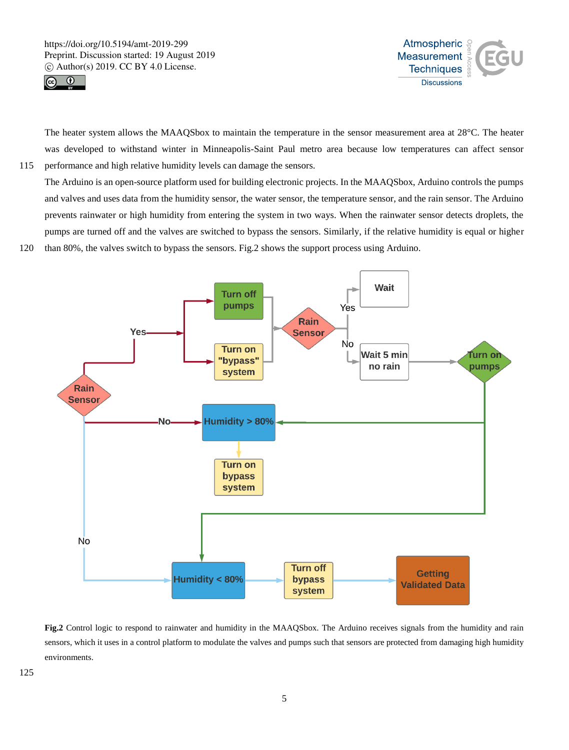



The heater system allows the MAAQSbox to maintain the temperature in the sensor measurement area at 28°C. The heater was developed to withstand winter in Minneapolis-Saint Paul metro area because low temperatures can affect sensor 115 performance and high relative humidity levels can damage the sensors.

The Arduino is an open-source platform used for building electronic projects. In the MAAQSbox, Arduino controls the pumps and valves and uses data from the humidity sensor, the water sensor, the temperature sensor, and the rain sensor. The Arduino prevents rainwater or high humidity from entering the system in two ways. When the rainwater sensor detects droplets, the pumps are turned off and the valves are switched to bypass the sensors. Similarly, if the relative humidity is equal or higher 120 than 80%, the valves switch to bypass the sensors. Fig.2 shows the support process using Arduino.



**Fig.2** Control logic to respond to rainwater and humidity in the MAAQSbox. The Arduino receives signals from the humidity and rain sensors, which it uses in a control platform to modulate the valves and pumps such that sensors are protected from damaging high humidity environments.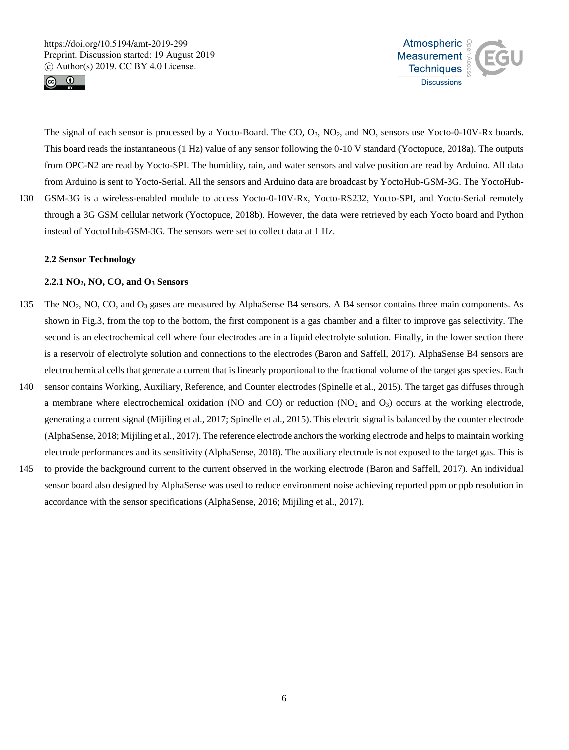



The signal of each sensor is processed by a Yocto-Board. The CO, O3, NO2, and NO, sensors use Yocto-0-10V-Rx boards. This board reads the instantaneous (1 Hz) value of any sensor following the 0-10 V standard (Yoctopuce, 2018a). The outputs from OPC-N2 are read by Yocto-SPI. The humidity, rain, and water sensors and valve position are read by Arduino. All data from Arduino is sent to Yocto-Serial. All the sensors and Arduino data are broadcast by YoctoHub-GSM-3G. The YoctoHub-130 GSM-3G is a wireless-enabled module to access Yocto-0-10V-Rx, Yocto-RS232, Yocto-SPI, and Yocto-Serial remotely through a 3G GSM cellular network (Yoctopuce, 2018b). However, the data were retrieved by each Yocto board and Python

## **2.2 Sensor Technology**

## **2.2.1 NO2, NO, CO, and O<sup>3</sup> Sensors**

instead of YoctoHub-GSM-3G. The sensors were set to collect data at 1 Hz.

- 135 The NO<sub>2</sub>, NO, CO, and O<sub>3</sub> gases are measured by AlphaSense B4 sensors. A B4 sensor contains three main components. As shown in Fig.3, from the top to the bottom, the first component is a gas chamber and a filter to improve gas selectivity. The second is an electrochemical cell where four electrodes are in a liquid electrolyte solution. Finally, in the lower section there is a reservoir of electrolyte solution and connections to the electrodes (Baron and Saffell, 2017). AlphaSense B4 sensors are electrochemical cells that generate a current that is linearly proportional to the fractional volume of the target gas species. Each
- 140 sensor contains Working, Auxiliary, Reference, and Counter electrodes (Spinelle et al., 2015). The target gas diffuses through a membrane where electrochemical oxidation (NO and CO) or reduction  $(NO<sub>2</sub>$  and  $O<sub>3</sub>)$  occurs at the working electrode, generating a current signal (Mijiling et al., 2017; Spinelle et al., 2015). This electric signal is balanced by the counter electrode (AlphaSense, 2018; Mijiling et al., 2017). The reference electrode anchors the working electrode and helps to maintain working electrode performances and its sensitivity (AlphaSense, 2018). The auxiliary electrode is not exposed to the target gas. This is
- 145 to provide the background current to the current observed in the working electrode (Baron and Saffell, 2017). An individual sensor board also designed by AlphaSense was used to reduce environment noise achieving reported ppm or ppb resolution in accordance with the sensor specifications (AlphaSense, 2016; Mijiling et al., 2017).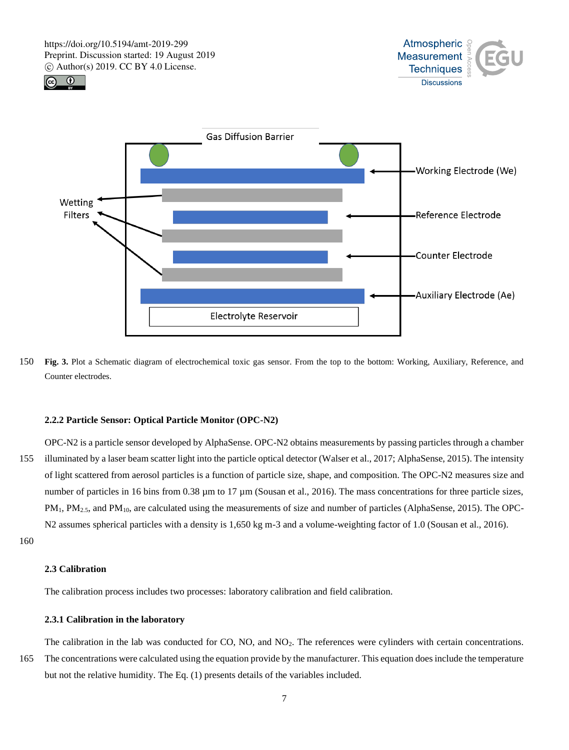





150 **Fig. 3.** Plot a Schematic diagram of electrochemical toxic gas sensor. From the top to the bottom: Working, Auxiliary, Reference, and Counter electrodes.

## **2.2.2 Particle Sensor: Optical Particle Monitor (OPC-N2)**

OPC-N2 is a particle sensor developed by AlphaSense. OPC-N2 obtains measurements by passing particles through a chamber 155 illuminated by a laser beam scatter light into the particle optical detector (Walser et al., 2017; AlphaSense, 2015). The intensity of light scattered from aerosol particles is a function of particle size, shape, and composition. The OPC-N2 measures size and number of particles in 16 bins from 0.38  $\mu$ m to 17  $\mu$ m (Sousan et al., 2016). The mass concentrations for three particle sizes, PM<sub>1</sub>, PM<sub>2.5</sub>, and PM<sub>10</sub>, are calculated using the measurements of size and number of particles (AlphaSense, 2015). The OPC-N2 assumes spherical particles with a density is 1,650 kg m-3 and a volume-weighting factor of 1.0 (Sousan et al., 2016).

160

## **2.3 Calibration**

The calibration process includes two processes: laboratory calibration and field calibration.

## **2.3.1 Calibration in the laboratory**

The calibration in the lab was conducted for CO, NO, and NO<sub>2</sub>. The references were cylinders with certain concentrations. 165 The concentrations were calculated using the equation provide by the manufacturer. This equation does include the temperature but not the relative humidity. The Eq. (1) presents details of the variables included.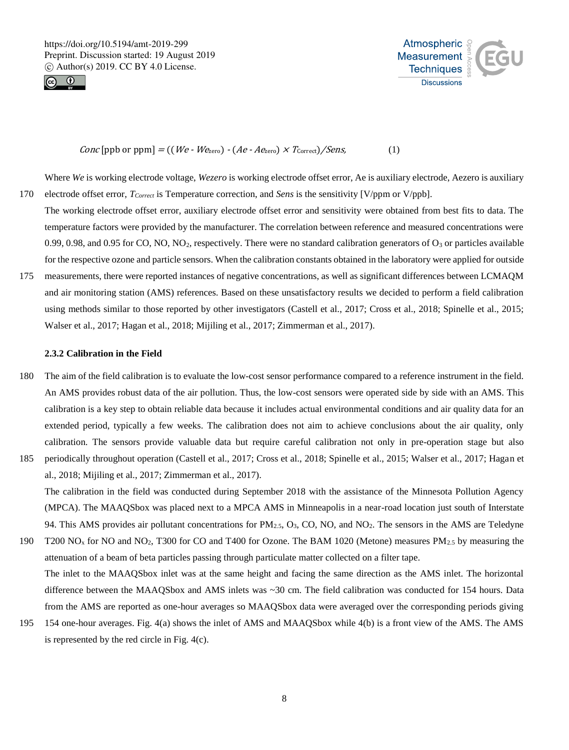



## *Conc* [ppb or ppm] = ((*We - We<sub>zero</sub>*) - (*Ae - Ae<sub>zero</sub>*)  $\times$  *T*<sub>correct</sub>)/*Sens*, (1)

Where *We* is working electrode voltage, *Wezero* is working electrode offset error, Ae is auxiliary electrode, Aezero is auxiliary 170 electrode offset error, *TCorrect* is Temperature correction, and *Sens* is the sensitivity [V/ppm or V/ppb].

- The working electrode offset error, auxiliary electrode offset error and sensitivity were obtained from best fits to data. The temperature factors were provided by the manufacturer. The correlation between reference and measured concentrations were 0.99, 0.98, and 0.95 for CO, NO, NO<sub>2</sub>, respectively. There were no standard calibration generators of  $O_3$  or particles available for the respective ozone and particle sensors. When the calibration constants obtained in the laboratory were applied for outside
- 175 measurements, there were reported instances of negative concentrations, as well as significant differences between LCMAQM and air monitoring station (AMS) references. Based on these unsatisfactory results we decided to perform a field calibration using methods similar to those reported by other investigators (Castell et al., 2017; Cross et al., 2018; Spinelle et al., 2015; Walser et al., 2017; Hagan et al., 2018; Mijiling et al., 2017; Zimmerman et al., 2017).

#### **2.3.2 Calibration in the Field**

- 180 The aim of the field calibration is to evaluate the low-cost sensor performance compared to a reference instrument in the field. An AMS provides robust data of the air pollution. Thus, the low-cost sensors were operated side by side with an AMS. This calibration is a key step to obtain reliable data because it includes actual environmental conditions and air quality data for an extended period, typically a few weeks. The calibration does not aim to achieve conclusions about the air quality, only calibration. The sensors provide valuable data but require careful calibration not only in pre-operation stage but also
- 185 periodically throughout operation (Castell et al., 2017; Cross et al., 2018; Spinelle et al., 2015; Walser et al., 2017; Hagan et al., 2018; Mijiling et al., 2017; Zimmerman et al., 2017). The calibration in the field was conducted during September 2018 with the assistance of the Minnesota Pollution Agency

(MPCA). The MAAQSbox was placed next to a MPCA AMS in Minneapolis in a near-road location just south of Interstate 94. This AMS provides air pollutant concentrations for PM<sub>2.5</sub>, O<sub>3</sub>, CO, NO, and NO<sub>2</sub>. The sensors in the AMS are Teledyne

- 190 T200 NO<sub>x</sub> for NO and NO<sub>2</sub>, T300 for CO and T400 for Ozone. The BAM 1020 (Metone) measures PM<sub>2.5</sub> by measuring the attenuation of a beam of beta particles passing through particulate matter collected on a filter tape. The inlet to the MAAQSbox inlet was at the same height and facing the same direction as the AMS inlet. The horizontal difference between the MAAQSbox and AMS inlets was ~30 cm. The field calibration was conducted for 154 hours. Data from the AMS are reported as one-hour averages so MAAQSbox data were averaged over the corresponding periods giving
- 195 154 one-hour averages. Fig. 4(a) shows the inlet of AMS and MAAQSbox while 4(b) is a front view of the AMS. The AMS is represented by the red circle in Fig. 4(c).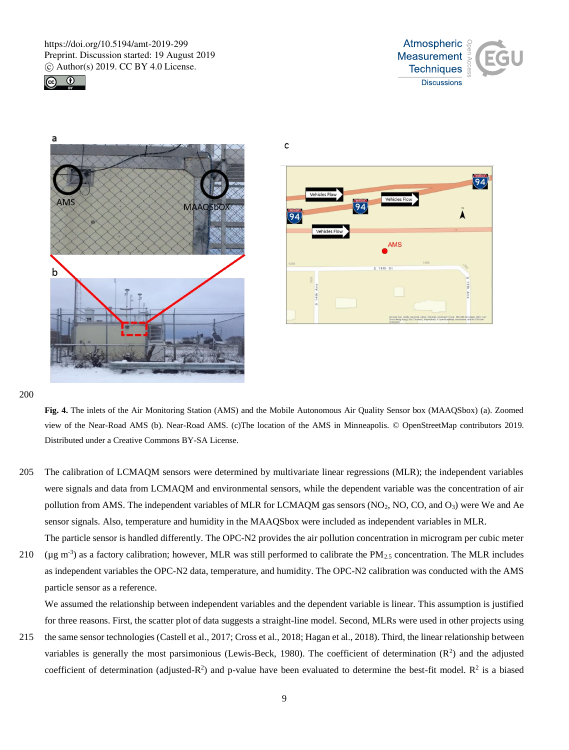







200

**Fig. 4.** The inlets of the Air Monitoring Station (AMS) and the Mobile Autonomous Air Quality Sensor box (MAAQSbox) (a). Zoomed view of the Near-Road AMS (b). Near-Road AMS. (c)The location of the AMS in Minneapolis. © OpenStreetMap contributors 2019. Distributed under a Creative Commons BY-SA License.

C

- 205 The calibration of LCMAQM sensors were determined by multivariate linear regressions (MLR); the independent variables were signals and data from LCMAQM and environmental sensors, while the dependent variable was the concentration of air pollution from AMS. The independent variables of MLR for LCMAQM gas sensors  $(NO_2, NO, CO, and O_3)$  were We and Ae sensor signals. Also, temperature and humidity in the MAAQSbox were included as independent variables in MLR. The particle sensor is handled differently. The OPC-N2 provides the air pollution concentration in microgram per cubic meter
- 210 ( $\mu$ g m<sup>-3</sup>) as a factory calibration; however, MLR was still performed to calibrate the PM<sub>2.5</sub> concentration. The MLR includes as independent variables the OPC-N2 data, temperature, and humidity. The OPC-N2 calibration was conducted with the AMS particle sensor as a reference.

We assumed the relationship between independent variables and the dependent variable is linear. This assumption is justified for three reasons. First, the scatter plot of data suggests a straight-line model. Second, MLRs were used in other projects using

215 the same sensor technologies (Castell et al., 2017; Cross et al., 2018; Hagan et al., 2018). Third, the linear relationship between variables is generally the most parsimonious (Lewis-Beck, 1980). The coefficient of determination  $(R^2)$  and the adjusted coefficient of determination (adjusted- $R^2$ ) and p-value have been evaluated to determine the best-fit model.  $R^2$  is a biased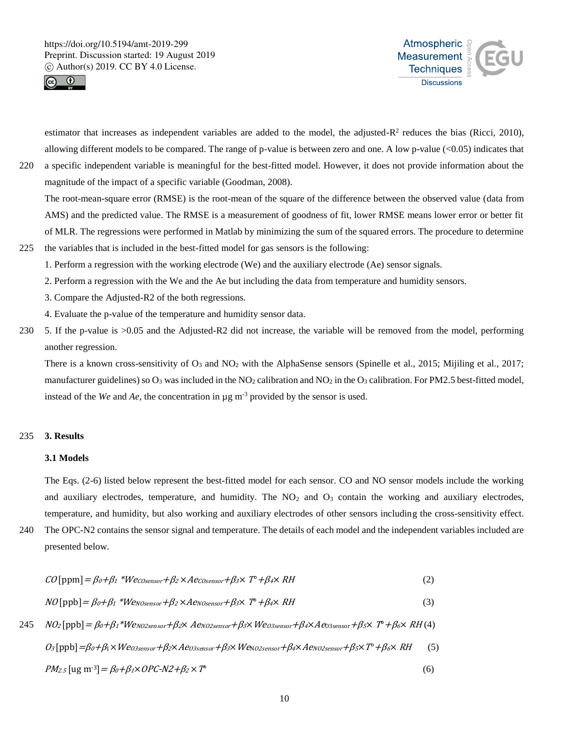



estimator that increases as independent variables are added to the model, the adjusted- $R^2$  reduces the bias (Ricci, 2010), allowing different models to be compared. The range of p-value is between zero and one. A low p-value  $(<0.05$ ) indicates that

220 a specific independent variable is meaningful for the best-fitted model. However, it does not provide information about the magnitude of the impact of a specific variable (Goodman, 2008).

The root-mean-square error (RMSE) is the root-mean of the square of the difference between the observed value (data from AMS) and the predicted value. The RMSE is a measurement of goodness of fit, lower RMSE means lower error or better fit of MLR. The regressions were performed in Matlab by minimizing the sum of the squared errors. The procedure to determine 225 the variables that is included in the best-fitted model for gas sensors is the following:

- 1. Perform a regression with the working electrode (We) and the auxiliary electrode (Ae) sensor signals.
	- 2. Perform a regression with the We and the Ae but including the data from temperature and humidity sensors.
	- 3. Compare the Adjusted-R2 of the both regressions.
	- 4. Evaluate the p-value of the temperature and humidity sensor data.
- 230 5. If the p-value is >0.05 and the Adjusted-R2 did not increase, the variable will be removed from the model, performing another regression.

There is a known cross-sensitivity of  $O_3$  and  $NO_2$  with the AlphaSense sensors (Spinelle et al., 2015; Mijiling et al., 2017; manufacturer guidelines) so  $O_3$  was included in the NO<sub>2</sub> calibration and NO<sub>2</sub> in the O<sub>3</sub> calibration. For PM2.5 best-fitted model, instead of the *We* and *Ae*, the concentration in  $\mu$ g m<sup>-3</sup> provided by the sensor is used.

## 235 **3. Results**

## **3.1 Models**

The Eqs. (2-6) listed below represent the best-fitted model for each sensor. CO and NO sensor models include the working and auxiliary electrodes, temperature, and humidity. The  $NO<sub>2</sub>$  and  $O<sub>3</sub>$  contain the working and auxiliary electrodes, temperature, and humidity, but also working and auxiliary electrodes of other sensors including the cross-sensitivity effect.

240 The OPC-N2 contains the sensor signal and temperature. The details of each model and the independent variables included are presented below.

$$
CO[ppm] = \beta_0 + \beta_1 * Wecosensor + \beta_2 \times Aecosensor + \beta_3 \times T^* + \beta_4 \times RH
$$
\n
$$
NO[ppb] = \beta_0 + \beta_1 * Wecosensor + \beta_2 \times Aevosensor + \beta_3 \times T^* + \beta_4 \times RH
$$
\n
$$
NO[ppb] = \beta_0 + \beta_1 * Wevoosensor + \beta_2 \times Aevoosensor + \beta_3 \times Weos sensor + \beta_4 \times Aeoosensor + \beta_5 \times T^* + \beta_6 \times RH
$$
\n
$$
10 \text{ (appb)} = \beta_0 + \beta_1 * Wevoosensor + \beta_2 \times Aevoosensor + \beta_3 \times Weos sensor + \beta_4 \times Aeoosensor + \beta_5 \times T^* + \beta_6 \times RH
$$

<sup>O</sup>3 [ppb]=β0<sup>+</sup>β1×WeO3sensor<sup>+</sup>β2×AeO3sensor<sup>+</sup>β3×WeNO2sensor<sup>+</sup>β4×AeNO2sensor<sup>+</sup>β5×T°+β6× RH(5)

$$
PM_{2.5} \left[ \text{ug } \text{m}^{-3} \right] = \beta_0 + \beta_1 \times OPC - N2 + \beta_2 \times T^{\circ}
$$
\n
$$
\tag{6}
$$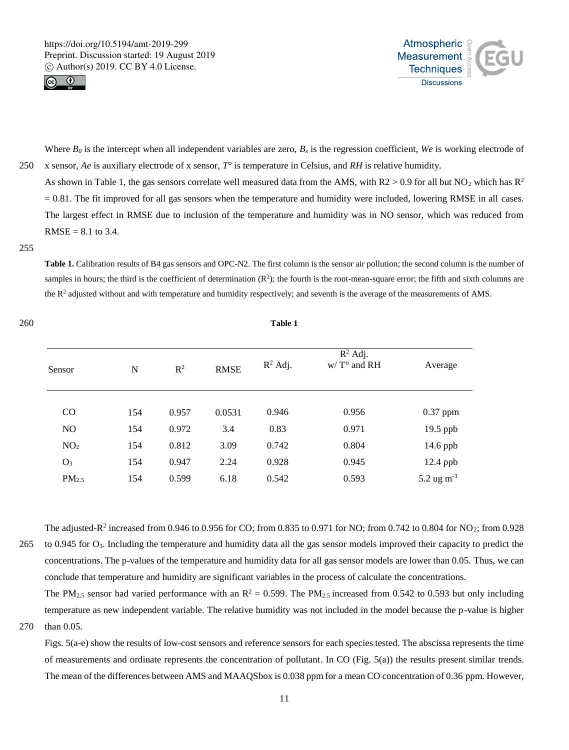260 **Table 1**





Where  $B_0$  is the intercept when all independent variables are zero,  $B_x$  is the regression coefficient, We is working electrode of 250 x sensor, *Ae* is auxiliary electrode of x sensor, *T°* is temperature in Celsius, and *RH* is relative humidity.

As shown in Table 1, the gas sensors correlate well measured data from the AMS, with  $R2 > 0.9$  for all but NO<sub>2</sub> which has  $R^2$  $= 0.81$ . The fit improved for all gas sensors when the temperature and humidity were included, lowering RMSE in all cases. The largest effect in RMSE due to inclusion of the temperature and humidity was in NO sensor, which was reduced from  $RMSE = 8.1$  to 3.4.

## 255

Table 1. Calibration results of B4 gas sensors and OPC-N2. The first column is the sensor air pollution; the second column is the number of samples in hours; the third is the coefficient of determination  $(R^2)$ ; the fourth is the root-mean-square error; the fifth and sixth columns are the R<sup>2</sup> adjusted without and with temperature and humidity respectively; and seventh is the average of the measurements of AMS.

| Sensor            | N   | $R^2$ | <b>RMSE</b> | $R^2$ Adj. | $R^2$ Adj.<br>$W/T^{\circ}$ and RH | Average         |
|-------------------|-----|-------|-------------|------------|------------------------------------|-----------------|
| $\rm CO$          | 154 | 0.957 | 0.0531      | 0.946      | 0.956                              | $0.37$ ppm      |
| NO                | 154 | 0.972 | 3.4         | 0.83       | 0.971                              | 19.5 ppb        |
| NO <sub>2</sub>   | 154 | 0.812 | 3.09        | 0.742      | 0.804                              | $14.6$ ppb      |
| $O_3$             | 154 | 0.947 | 2.24        | 0.928      | 0.945                              | 12.4 ppb        |
| PM <sub>2.5</sub> | 154 | 0.599 | 6.18        | 0.542      | 0.593                              | 5.2 ug $m^{-3}$ |

The adjusted- $R^2$  increased from 0.946 to 0.956 for CO; from 0.835 to 0.971 for NO; from 0.742 to 0.804 for NO<sub>2</sub>; from 0.928 265 to 0.945 for O3. Including the temperature and humidity data all the gas sensor models improved their capacity to predict the concentrations. The p-values of the temperature and humidity data for all gas sensor models are lower than 0.05. Thus, we can conclude that temperature and humidity are significant variables in the process of calculate the concentrations.

The PM<sub>2.5</sub> sensor had varied performance with an  $R^2 = 0.599$ . The PM<sub>2.5</sub> increased from 0.542 to 0.593 but only including temperature as new independent variable. The relative humidity was not included in the model because the p-value is higher 270 than 0.05.

Figs. 5(a-e) show the results of low-cost sensors and reference sensors for each species tested. The abscissa represents the time of measurements and ordinate represents the concentration of pollutant. In CO (Fig. 5(a)) the results present similar trends. The mean of the differences between AMS and MAAQSbox is 0.038 ppm for a mean CO concentration of 0.36 ppm. However,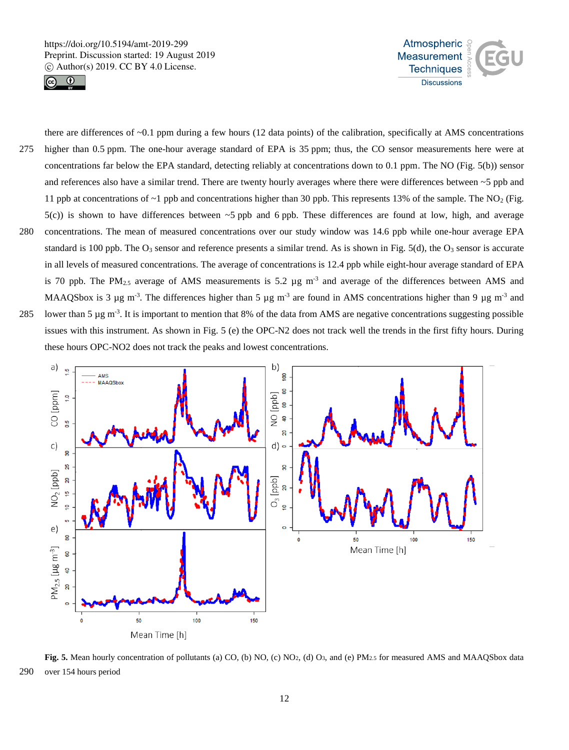



there are differences of  $\sim 0.1$  ppm during a few hours (12 data points) of the calibration, specifically at AMS concentrations 275 higher than 0.5 ppm. The one-hour average standard of EPA is 35 ppm; thus, the CO sensor measurements here were at concentrations far below the EPA standard, detecting reliably at concentrations down to 0.1 ppm. The NO (Fig. 5(b)) sensor and references also have a similar trend. There are twenty hourly averages where there were differences between ~5 ppb and 11 ppb at concentrations of  $\sim$ 1 ppb and concentrations higher than 30 ppb. This represents 13% of the sample. The NO<sub>2</sub> (Fig.  $5(c)$ ) is shown to have differences between  $\sim$ 5 ppb and 6 ppb. These differences are found at low, high, and average 280 concentrations. The mean of measured concentrations over our study window was 14.6 ppb while one-hour average EPA standard is 100 ppb. The  $O_3$  sensor and reference presents a similar trend. As is shown in Fig. 5(d), the  $O_3$  sensor is accurate in all levels of measured concentrations. The average of concentrations is 12.4 ppb while eight-hour average standard of EPA is 70 ppb. The PM<sub>2.5</sub> average of AMS measurements is 5.2  $\mu$ g m<sup>-3</sup> and average of the differences between AMS and MAAQSbox is 3  $\mu$ g m<sup>-3</sup>. The differences higher than 5  $\mu$ g m<sup>-3</sup> are found in AMS concentrations higher than 9  $\mu$ g m<sup>-3</sup> and 285 . Iower than 5  $\mu$ g m<sup>-3</sup>. It is important to mention that 8% of the data from AMS are negative concentrations suggesting possible issues with this instrument. As shown in Fig. 5 (e) the OPC-N2 does not track well the trends in the first fifty hours. During



**Fig. 5.** Mean hourly concentration of pollutants (a) CO, (b) NO, (c) NO<sub>2</sub>, (d) O<sub>3</sub>, and (e) PM<sub>2.5</sub> for measured AMS and MAAQSbox data 290 over 154 hours period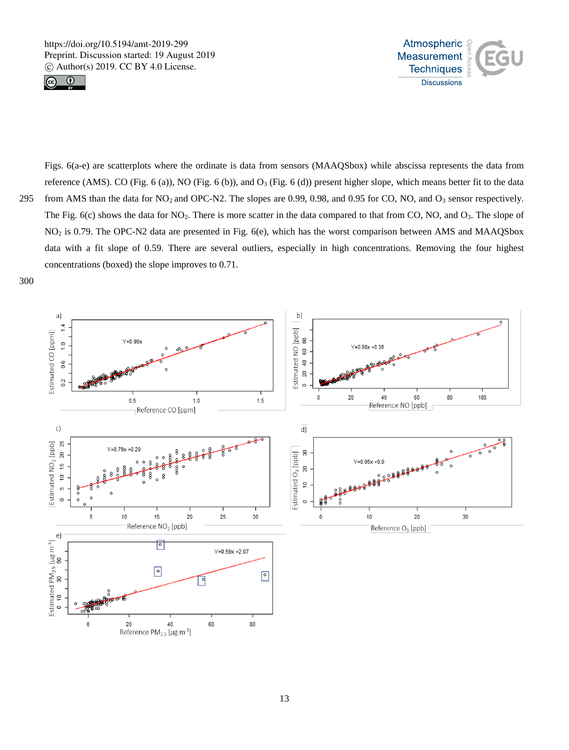



Figs. 6(a-e) are scatterplots where the ordinate is data from sensors (MAAQSbox) while abscissa represents the data from reference (AMS). CO (Fig. 6 (a)), NO (Fig. 6 (b)), and  $O_3$  (Fig. 6 (d)) present higher slope, which means better fit to the data 295 from AMS than the data for  $NO_2$  and  $OPC-$ N2. The slopes are 0.99, 0.98, and 0.95 for CO, NO, and  $O_3$  sensor respectively. The Fig. 6(c) shows the data for NO<sub>2</sub>. There is more scatter in the data compared to that from CO, NO, and O<sub>3</sub>. The slope of NO<sup>2</sup> is 0.79. The OPC-N2 data are presented in Fig. 6(e), which has the worst comparison between AMS and MAAQSbox data with a fit slope of 0.59. There are several outliers, especially in high concentrations. Removing the four highest concentrations (boxed) the slope improves to 0.71.

300

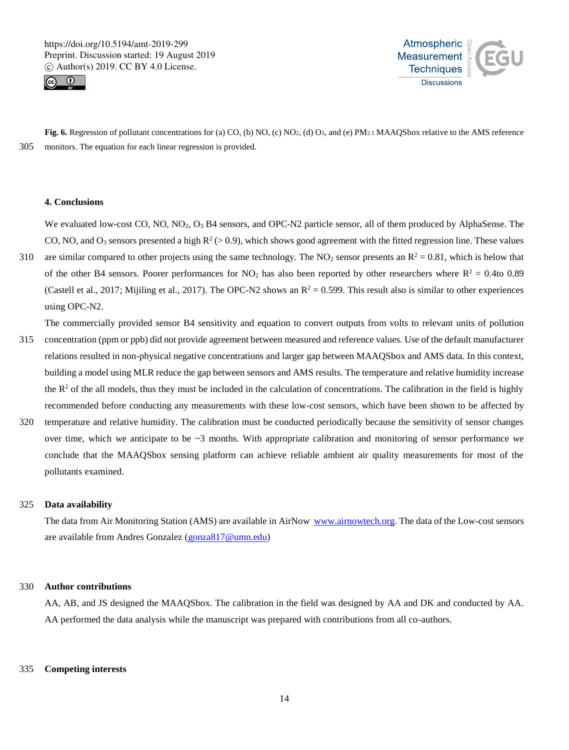



**Fig. 6.** Regression of pollutant concentrations for (a) CO, (b) NO, (c) NO<sub>2</sub>, (d) O<sub>3</sub>, and (e) PM<sub>2.5</sub> MAAQSbox relative to the AMS reference 305 monitors. The equation for each linear regression is provided.

## **4. Conclusions**

We evaluated low-cost CO, NO, NO<sub>2</sub>, O<sub>3</sub> B4 sensors, and OPC-N2 particle sensor, all of them produced by AlphaSense. The CO, NO, and O<sub>3</sub> sensors presented a high  $R^2$  (> 0.9), which shows good agreement with the fitted regression line. These values

310 are similar compared to other projects using the same technology. The NO<sub>2</sub> sensor presents an  $R^2 = 0.81$ , which is below that of the other B4 sensors. Poorer performances for NO<sub>2</sub> has also been reported by other researchers where  $R^2 = 0.4$ to 0.89 (Castell et al., 2017; Mijiling et al., 2017). The OPC-N2 shows an  $R^2 = 0.599$ . This result also is similar to other experiences using OPC-N2.

The commercially provided sensor B4 sensitivity and equation to convert outputs from volts to relevant units of pollution

- 315 concentration (ppm or ppb) did not provide agreement between measured and reference values. Use of the default manufacturer relations resulted in non-physical negative concentrations and larger gap between MAAQSbox and AMS data. In this context, building a model using MLR reduce the gap between sensors and AMS results. The temperature and relative humidity increase the  $R<sup>2</sup>$  of the all models, thus they must be included in the calculation of concentrations. The calibration in the field is highly recommended before conducting any measurements with these low-cost sensors, which have been shown to be affected by
- 320 temperature and relative humidity. The calibration must be conducted periodically because the sensitivity of sensor changes over time, which we anticipate to be  $\sim$ 3 months. With appropriate calibration and monitoring of sensor performance we conclude that the MAAQSbox sensing platform can achieve reliable ambient air quality measurements for most of the pollutants examined.

## 325 **Data availability**

The data from Air Monitoring Station (AMS) are available in AirNow www.airnowtech.org. The data of the Low-cost sensors are available from Andres Gonzalez (gonza817@umn.edu)

## 330 **Author contributions**

AA, AB, and JS designed the MAAQSbox. The calibration in the field was designed by AA and DK and conducted by AA. AA performed the data analysis while the manuscript was prepared with contributions from all co-authors.

#### 335 **Competing interests**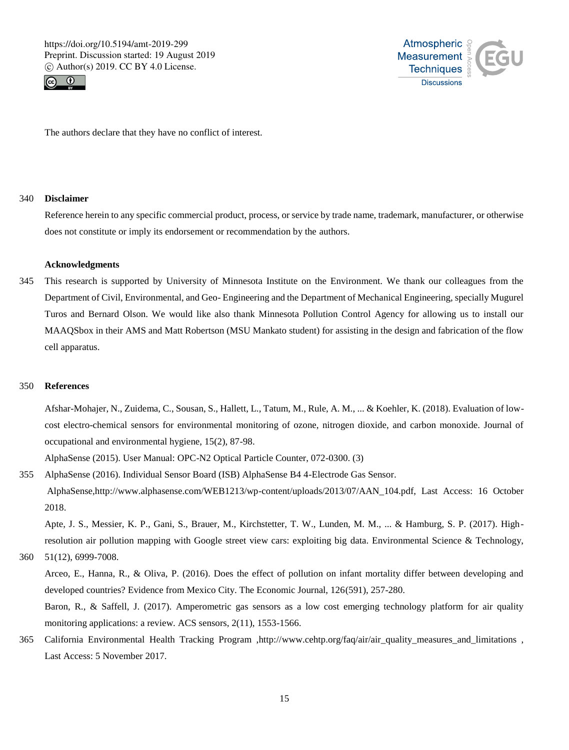



The authors declare that they have no conflict of interest.

## 340 **Disclaimer**

Reference herein to any specific commercial product, process, or service by trade name, trademark, manufacturer, or otherwise does not constitute or imply its endorsement or recommendation by the authors.

## **Acknowledgments**

345 This research is supported by University of Minnesota Institute on the Environment. We thank our colleagues from the Department of Civil, Environmental, and Geo- Engineering and the Department of Mechanical Engineering, specially Mugurel Turos and Bernard Olson. We would like also thank Minnesota Pollution Control Agency for allowing us to install our MAAQSbox in their AMS and Matt Robertson (MSU Mankato student) for assisting in the design and fabrication of the flow cell apparatus.

## 350 **References**

Afshar-Mohajer, N., Zuidema, C., Sousan, S., Hallett, L., Tatum, M., Rule, A. M., ... & Koehler, K. (2018). Evaluation of lowcost electro-chemical sensors for environmental monitoring of ozone, nitrogen dioxide, and carbon monoxide. Journal of occupational and environmental hygiene, 15(2), 87-98.

AlphaSense (2015). User Manual: OPC-N2 Optical Particle Counter, 072-0300. (3)

355 AlphaSense (2016). Individual Sensor Board (ISB) AlphaSense B4 4-Electrode Gas Sensor. AlphaSense,http://www.alphasense.com/WEB1213/wp-content/uploads/2013/07/AAN\_104.pdf, Last Access: 16 October 2018.

Apte, J. S., Messier, K. P., Gani, S., Brauer, M., Kirchstetter, T. W., Lunden, M. M., ... & Hamburg, S. P. (2017). Highresolution air pollution mapping with Google street view cars: exploiting big data. Environmental Science & Technology,

360 51(12), 6999-7008.

Arceo, E., Hanna, R., & Oliva, P. (2016). Does the effect of pollution on infant mortality differ between developing and developed countries? Evidence from Mexico City. The Economic Journal, 126(591), 257-280.

Baron, R., & Saffell, J. (2017). Amperometric gas sensors as a low cost emerging technology platform for air quality monitoring applications: a review. ACS sensors, 2(11), 1553-1566.

365 California Environmental Health Tracking Program ,http://www.cehtp.org/faq/air/air\_quality\_measures\_and\_limitations , Last Access: 5 November 2017.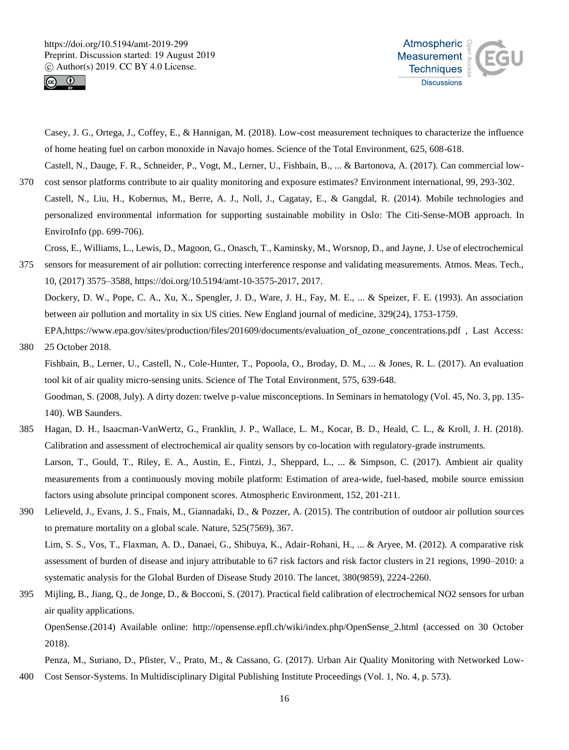



Casey, J. G., Ortega, J., Coffey, E., & Hannigan, M. (2018). Low-cost measurement techniques to characterize the influence of home heating fuel on carbon monoxide in Navajo homes. Science of the Total Environment, 625, 608-618. Castell, N., Dauge, F. R., Schneider, P., Vogt, M., Lerner, U., Fishbain, B., ... & Bartonova, A. (2017). Can commercial low-

370 cost sensor platforms contribute to air quality monitoring and exposure estimates? Environment international, 99, 293-302. Castell, N., Liu, H., Kobernus, M., Berre, A. J., Noll, J., Cagatay, E., & Gangdal, R. (2014). Mobile technologies and personalized environmental information for supporting sustainable mobility in Oslo: The Citi-Sense-MOB approach. In EnviroInfo (pp. 699-706).

Cross, E., Williams, L., Lewis, D., Magoon, G., Onasch, T., Kaminsky, M., Worsnop, D., and Jayne, J. Use of electrochemical

- 375 sensors for measurement of air pollution: correcting interference response and validating measurements. Atmos. Meas. Tech., 10, (2017) 3575–3588, https://doi.org/10.5194/amt-10-3575-2017, 2017. Dockery, D. W., Pope, C. A., Xu, X., Spengler, J. D., Ware, J. H., Fay, M. E., ... & Speizer, F. E. (1993). An association between air pollution and mortality in six US cities. New England journal of medicine, 329(24), 1753-1759. EPA,https://www.epa.gov/sites/production/files/201609/documents/evaluation of ozone concentrations.pdf , Last Access:
- 380 25 October 2018. Fishbain, B., Lerner, U., Castell, N., Cole-Hunter, T., Popoola, O., Broday, D. M., ... & Jones, R. L. (2017). An evaluation tool kit of air quality micro-sensing units. Science of The Total Environment, 575, 639-648. Goodman, S. (2008, July). A dirty dozen: twelve p-value misconceptions. In Seminars in hematology (Vol. 45, No. 3, pp. 135- 140). WB Saunders.
- 385 Hagan, D. H., Isaacman-VanWertz, G., Franklin, J. P., Wallace, L. M., Kocar, B. D., Heald, C. L., & Kroll, J. H. (2018). Calibration and assessment of electrochemical air quality sensors by co-location with regulatory-grade instruments. Larson, T., Gould, T., Riley, E. A., Austin, E., Fintzi, J., Sheppard, L., ... & Simpson, C. (2017). Ambient air quality measurements from a continuously moving mobile platform: Estimation of area-wide, fuel-based, mobile source emission factors using absolute principal component scores. Atmospheric Environment, 152, 201-211.
- 390 Lelieveld, J., Evans, J. S., Fnais, M., Giannadaki, D., & Pozzer, A. (2015). The contribution of outdoor air pollution sources to premature mortality on a global scale. Nature, 525(7569), 367. Lim, S. S., Vos, T., Flaxman, A. D., Danaei, G., Shibuya, K., Adair-Rohani, H., ... & Aryee, M. (2012). A comparative risk assessment of burden of disease and injury attributable to 67 risk factors and risk factor clusters in 21 regions, 1990–2010: a systematic analysis for the Global Burden of Disease Study 2010. The lancet, 380(9859), 2224-2260.
- 395 Mijling, B., Jiang, Q., de Jonge, D., & Bocconi, S. (2017). Practical field calibration of electrochemical NO2 sensors for urban air quality applications. OpenSense.(2014) Available online: http://opensense.epfl.ch/wiki/index.php/OpenSense\_2.html (accessed on 30 October 2018).

Penza, M., Suriano, D., Pfister, V., Prato, M., & Cassano, G. (2017). Urban Air Quality Monitoring with Networked Low-400 Cost Sensor-Systems. In Multidisciplinary Digital Publishing Institute Proceedings (Vol. 1, No. 4, p. 573).